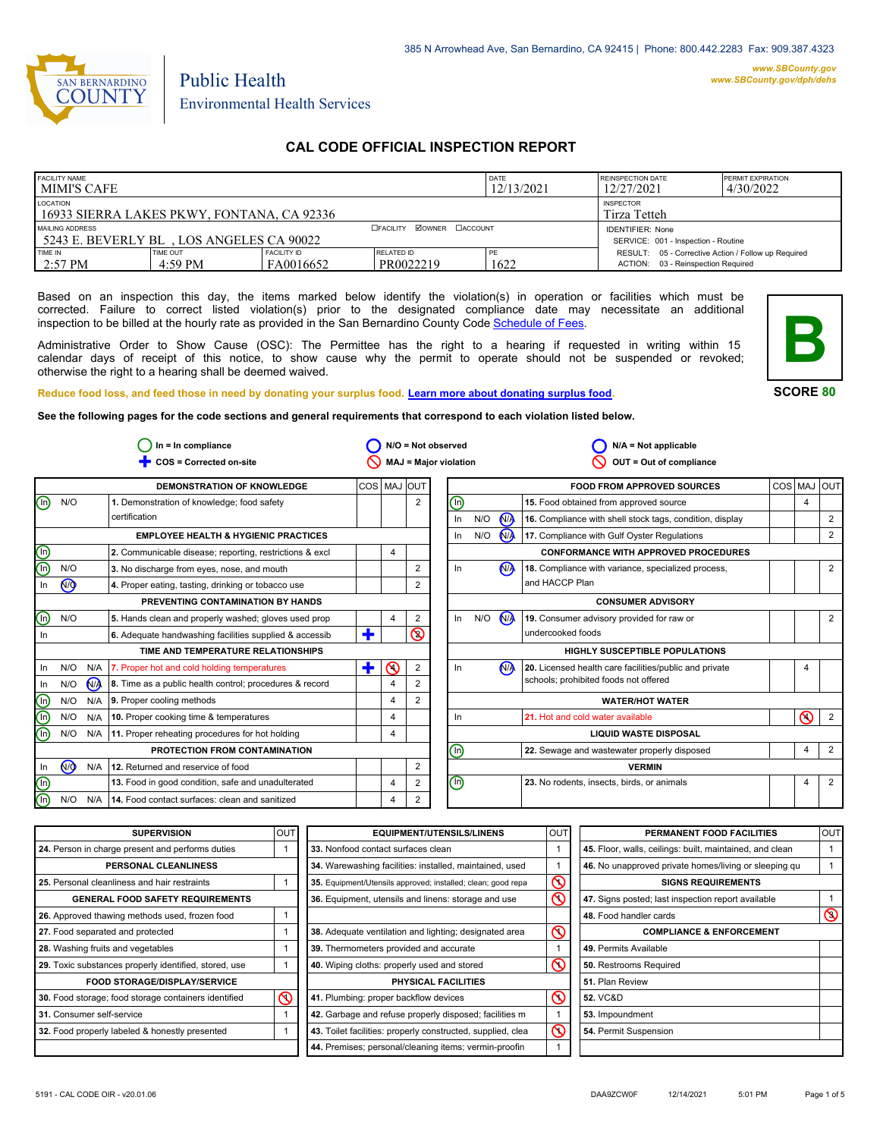

# Public Health Environmental Health Services

# **CAL CODE OFFICIAL INSPECTION REPORT**

| <b>FACILITY NAME</b><br><b>MIMI'S CAFE</b>                                                 |                               | DATE<br>12/13/2021              | <b>REINSPECTION DATE</b><br>12/27/2021                         | <b>PERMIT EXPIRATION</b><br>4/30/2022 |                                                                                           |  |
|--------------------------------------------------------------------------------------------|-------------------------------|---------------------------------|----------------------------------------------------------------|---------------------------------------|-------------------------------------------------------------------------------------------|--|
| LOCATION<br><b>INSPECTOR</b><br>16933 SIERRA LAKES PKWY, FONTANA, CA 92336<br>Tirza Tetteh |                               |                                 |                                                                |                                       |                                                                                           |  |
| MAILING ADDRESS<br>5243 E. BEVERLY BL. LOS ANGELES CA 90022                                |                               | <b>ZOWNER DACCOUNT</b>          | <b>IDENTIFIER: None</b><br>SERVICE: 001 - Inspection - Routine |                                       |                                                                                           |  |
| <b>TIME IN</b><br>$2:57 \text{ PM}$                                                        | TIME OUT<br>$4:59 \text{ PM}$ | <b>FACILITY ID</b><br>FA0016652 | <b>RELATED ID</b><br>PR0022219                                 | 1622                                  | RESULT: 05 - Corrective Action / Follow up Required<br>ACTION: 03 - Reinspection Required |  |

Based on an inspection this day, the items marked below identify the violation(s) in operation or facilities which must be corrected. Failure to correct listed violation(s) prior to the designated compliance date may necessitate an additional inspection to be billed at the hourly rate as provided in the San Bernardino County Co[de Schedule of Fees.](https://codelibrary.amlegal.com/codes/sanbernardino/latest/sanberncty_ca/0-0-0-122474#JD_16.0213B)

Administrative Order to Show Cause (OSC): The Permittee has the right to a hearing if requested in writing within 15 calendar days of receipt of this notice, to show cause why the permit to operate should not be suspended or revoked; otherwise the right to a hearing shall be deemed waived.



#### **SCORE 80**

**Reduce food loss, and feed those in need by donating your surplus f[ood. Learn more about donating surplus food.](https://wp.sbcounty.gov/dph/programs/ehs/charitable-food-service/) See the following pages for the code sections and general requirements that correspond to each violation listed below.**

|                                |           |                | $In = In$ compliance                                    |             |                |                | $N/O = Not observed$           |     |                      | $N/A = Not$ applicable                                   |                |                |
|--------------------------------|-----------|----------------|---------------------------------------------------------|-------------|----------------|----------------|--------------------------------|-----|----------------------|----------------------------------------------------------|----------------|----------------|
|                                |           |                | COS = Corrected on-site                                 |             |                |                | <b>MAJ = Major violation</b>   |     |                      | OUT = Out of compliance                                  |                |                |
|                                |           |                | <b>DEMONSTRATION OF KNOWLEDGE</b>                       | COS MAJ OUT |                |                |                                |     |                      | <b>FOOD FROM APPROVED SOURCES</b>                        | COS MAJ OUT    |                |
| ⊕                              | N/O       |                | 1. Demonstration of knowledge; food safety              |             |                | $\overline{2}$ | ℗                              |     |                      | 15. Food obtained from approved source                   | 4              |                |
|                                |           |                | certification                                           |             |                |                | In                             | N/O | N <sub>A</sub>       | 16. Compliance with shell stock tags, condition, display |                | 2              |
|                                |           |                | <b>EMPLOYEE HEALTH &amp; HYGIENIC PRACTICES</b>         |             |                |                | $\ln$                          | N/O | <b>N<sub>A</sub></b> | 17. Compliance with Gulf Oyster Regulations              |                | 2              |
| <u>මල</u>                      |           |                | 2. Communicable disease; reporting, restrictions & excl |             | 4              |                |                                |     |                      | <b>CONFORMANCE WITH APPROVED PROCEDURES</b>              |                |                |
|                                | N/O       |                | 3. No discharge from eyes, nose, and mouth              |             |                | 2              | In.                            |     | N <sub>A</sub>       | 18. Compliance with variance, specialized process,       |                | 2              |
| In                             | (ਔ        |                | 4. Proper eating, tasting, drinking or tobacco use      |             |                |                |                                |     |                      | and HACCP Plan                                           |                |                |
|                                |           |                | PREVENTING CONTAMINATION BY HANDS                       |             |                |                |                                |     |                      | <b>CONSUMER ADVISORY</b>                                 |                |                |
| $\mathbb O$                    | N/O       |                | 5. Hands clean and properly washed; gloves used prop    |             | 4              | 2              | $\ln$                          | N/O | <b>N<sub>A</sub></b> | 19. Consumer advisory provided for raw or                |                | 2              |
| In                             |           |                | 6. Adequate handwashing facilities supplied & accessib  | ٠           |                | $\circledcirc$ |                                |     |                      | undercooked foods                                        |                |                |
|                                |           |                | TIME AND TEMPERATURE RELATIONSHIPS                      |             |                |                |                                |     |                      | <b>HIGHLY SUSCEPTIBLE POPULATIONS</b>                    |                |                |
| In                             | N/O       |                | N/A   7. Proper hot and cold holding temperatures       | ÷           | $\odot$        | 2              | In                             |     | N <sub>A</sub>       | 20. Licensed health care facilities/public and private   |                |                |
| In                             | N/O       | N <sub>A</sub> | 8. Time as a public health control; procedures & record |             | $\overline{4}$ |                |                                |     |                      | schools; prohibited foods not offered                    |                |                |
| $\textcircled{\scriptsize{1}}$ | N/O       |                | $N/A$ 9. Proper cooling methods                         |             | 4              | 2              |                                |     |                      | <b>WATER/HOT WATER</b>                                   |                |                |
| $\overline{\mathbb{O}}$        | N/O       | N/A            | 10. Proper cooking time & temperatures                  |             | $\overline{4}$ |                | In                             |     |                      | 21. Hot and cold water available                         | ര              | $\overline{2}$ |
| டு                             | N/O       |                | N/A 11. Proper reheating procedures for hot holding     |             | 4              |                |                                |     |                      | <b>LIQUID WASTE DISPOSAL</b>                             |                |                |
|                                |           |                | PROTECTION FROM CONTAMINATION                           |             |                |                | ⋒                              |     |                      | 22. Sewage and wastewater properly disposed              | $\overline{4}$ | $\overline{2}$ |
| In                             | <b>NO</b> |                | N/A 12. Returned and reservice of food                  |             |                | 2              |                                |     |                      | <b>VERMIN</b>                                            |                |                |
|                                |           |                | 13. Food in good condition, safe and unadulterated      |             | $\overline{4}$ | 2              | $\textcircled{\scriptsize{1}}$ |     |                      | 23. No rodents, insects, birds, or animals               |                | $\overline{2}$ |
| O<br>O                         | N/O       | N/A            | 14. Food contact surfaces: clean and sanitized          |             | $\overline{4}$ | 2              |                                |     |                      |                                                          |                |                |

| <b>SUPERVISION</b>                                    | <b>OUT</b> | <b>EQUIPMENT/UTENSILS/LINENS</b>                             | OU <sub>1</sub>         | PERMANENT FOOD FACILITIES                                | <b>OUT</b>     |
|-------------------------------------------------------|------------|--------------------------------------------------------------|-------------------------|----------------------------------------------------------|----------------|
| 24. Person in charge present and performs duties      |            | 33. Nonfood contact surfaces clean                           |                         | 45. Floor, walls, ceilings: built, maintained, and clean |                |
| PERSONAL CLEANLINESS                                  |            | 34. Warewashing facilities: installed, maintained, used      |                         | 46. No unapproved private homes/living or sleeping gu    |                |
| 25. Personal cleanliness and hair restraints          |            | 35. Equipment/Utensils approved; installed; clean; good repa | $\mathcal Q$            | <b>SIGNS REQUIREMENTS</b>                                |                |
| <b>GENERAL FOOD SAFETY REQUIREMENTS</b>               |            | 36. Equipment, utensils and linens: storage and use          | $\overline{\mathbb{O}}$ | 47. Signs posted; last inspection report available       |                |
| 26. Approved thawing methods used, frozen food        |            |                                                              |                         | 48. Food handler cards                                   | $\circledcirc$ |
| 27. Food separated and protected                      |            | 38. Adequate ventilation and lighting; designated area       | $\mathop{\mathsf{O}}$   | <b>COMPLIANCE &amp; ENFORCEMENT</b>                      |                |
| 28. Washing fruits and vegetables                     |            | 39. Thermometers provided and accurate                       |                         | 49. Permits Available                                    |                |
| 29. Toxic substances properly identified, stored, use |            | 40. Wiping cloths: properly used and stored                  | ര                       | 50. Restrooms Required                                   |                |
| <b>FOOD STORAGE/DISPLAY/SERVICE</b>                   |            | PHYSICAL FACILITIES                                          |                         | 51. Plan Review                                          |                |
| 30. Food storage; food storage containers identified  | $\infty$   | 41. Plumbing: proper backflow devices                        | $\circledcirc$          | <b>52. VC&amp;D</b>                                      |                |
| 31. Consumer self-service                             |            | 42. Garbage and refuse properly disposed; facilities m       |                         | 53. Impoundment                                          |                |
| 32. Food properly labeled & honestly presented        |            | 43. Toilet facilities: properly constructed, supplied, clea  | ୧                       | 54. Permit Suspension                                    |                |
|                                                       |            | 44. Premises; personal/cleaning items; vermin-proofin        |                         |                                                          |                |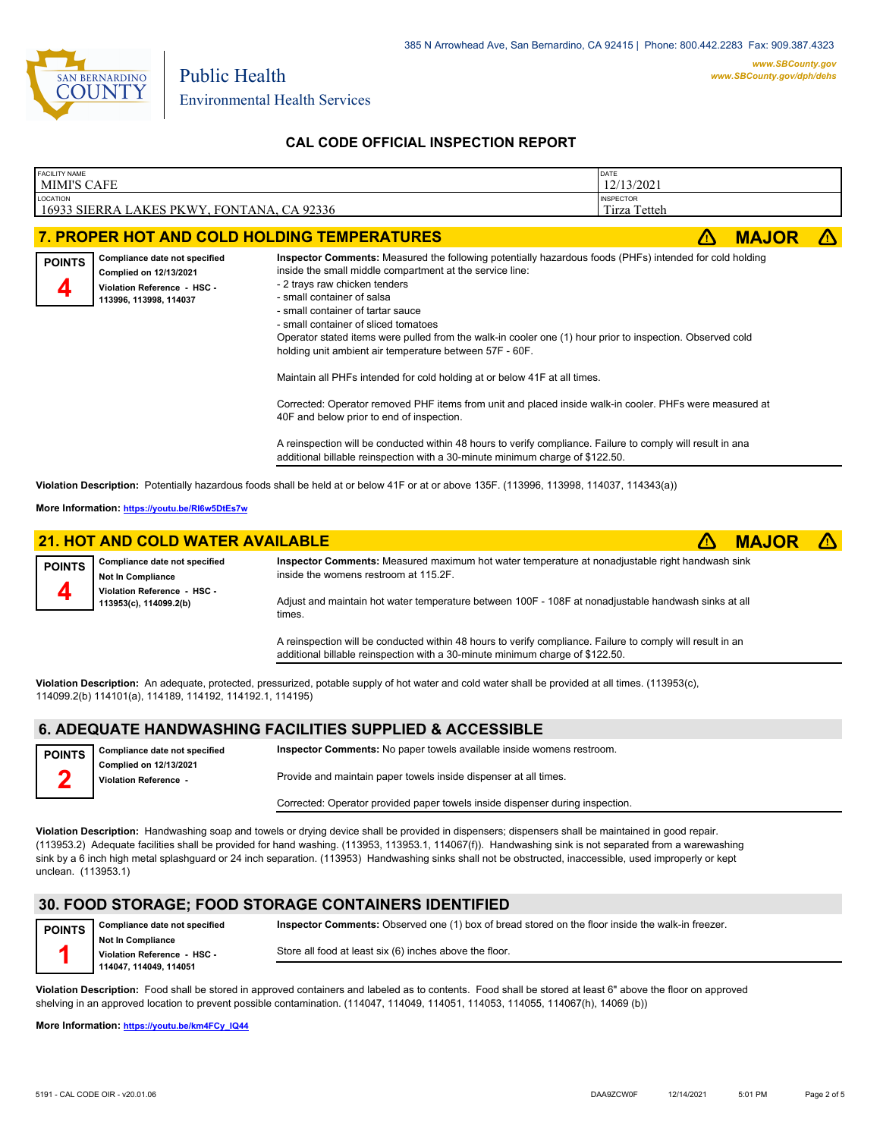

# **CAL CODE OFFICIAL INSPECTION REPORT**

| FACILITY NAME<br><b>MIMI'S CAFE</b>                                                                                                    | DATE<br>12/13/2021                                                                                                                                                                                                                                                                                                                                                                                                                                                                                                                                                                                                                                                                                                                                                                                                                                                                                                           |              |  |  |  |
|----------------------------------------------------------------------------------------------------------------------------------------|------------------------------------------------------------------------------------------------------------------------------------------------------------------------------------------------------------------------------------------------------------------------------------------------------------------------------------------------------------------------------------------------------------------------------------------------------------------------------------------------------------------------------------------------------------------------------------------------------------------------------------------------------------------------------------------------------------------------------------------------------------------------------------------------------------------------------------------------------------------------------------------------------------------------------|--------------|--|--|--|
| LOCATION                                                                                                                               | 16933 SIERRA LAKES PKWY, FONTANA, CA 92336                                                                                                                                                                                                                                                                                                                                                                                                                                                                                                                                                                                                                                                                                                                                                                                                                                                                                   |              |  |  |  |
| 7. PROPER HOT AND COLD HOLDING TEMPERATURES                                                                                            |                                                                                                                                                                                                                                                                                                                                                                                                                                                                                                                                                                                                                                                                                                                                                                                                                                                                                                                              | <b>MAJOR</b> |  |  |  |
| Compliance date not specified<br><b>POINTS</b><br>Complied on 12/13/2021<br>Violation Reference - HSC -<br>4<br>113996, 113998, 114037 | Inspector Comments: Measured the following potentially hazardous foods (PHFs) intended for cold holding<br>inside the small middle compartment at the service line:<br>- 2 trays raw chicken tenders<br>- small container of salsa<br>- small container of tartar sauce<br>- small container of sliced tomatoes<br>Operator stated items were pulled from the walk-in cooler one (1) hour prior to inspection. Observed cold<br>holding unit ambient air temperature between 57F - 60F.<br>Maintain all PHFs intended for cold holding at or below 41F at all times.<br>Corrected: Operator removed PHF items from unit and placed inside walk-in cooler. PHFs were measured at<br>40F and below prior to end of inspection.<br>A reinspection will be conducted within 48 hours to verify compliance. Failure to comply will result in ana<br>additional billable reinspection with a 30-minute minimum charge of \$122.50. |              |  |  |  |
|                                                                                                                                        | Violation Description: Potentially hazardous foods shall be held at or below 41F or at or above 135F. (113996, 113998, 114037, 114343(a))                                                                                                                                                                                                                                                                                                                                                                                                                                                                                                                                                                                                                                                                                                                                                                                    |              |  |  |  |
| More Information: https://youtu.be/RI6w5DtEs7w                                                                                         |                                                                                                                                                                                                                                                                                                                                                                                                                                                                                                                                                                                                                                                                                                                                                                                                                                                                                                                              |              |  |  |  |

|               | <b>21. HOT AND COLD WATER AVAILABLE</b>                   |                                                                                                                                                                                             | <b>MAJOR</b> | $\Lambda$ |
|---------------|-----------------------------------------------------------|---------------------------------------------------------------------------------------------------------------------------------------------------------------------------------------------|--------------|-----------|
| <b>POINTS</b> | Compliance date not specified<br><b>Not In Compliance</b> | Inspector Comments: Measured maximum hot water temperature at nonadjustable right handwash sink<br>inside the womens restroom at 115.2F.                                                    |              |           |
|               | Violation Reference - HSC -<br>113953(c), 114099.2(b)     | Adjust and maintain hot water temperature between 100F - 108F at nonadjustable handwash sinks at all<br>times.                                                                              |              |           |
|               |                                                           | A reinspection will be conducted within 48 hours to verify compliance. Failure to comply will result in an<br>additional billable reinspection with a 30-minute minimum charge of \$122.50. |              |           |

**Violation Description:** An adequate, protected, pressurized, potable supply of hot water and cold water shall be provided at all times. (113953(c), 114099.2(b) 114101(a), 114189, 114192, 114192.1, 114195)

## **6. ADEQUATE HANDWASHING FACILITIES SUPPLIED & ACCESSIBLE**

| <b>POINTS</b> | Compliance date not specified                          | Inspector Comments: No paper towels available inside womens restroom.         |
|---------------|--------------------------------------------------------|-------------------------------------------------------------------------------|
|               | <b>Complied on 12/13/2021</b><br>Violation Reference - | Provide and maintain paper towels inside dispenser at all times.              |
|               |                                                        | Corrected: Operator provided paper towels inside dispenser during inspection. |

**Violation Description:** Handwashing soap and towels or drying device shall be provided in dispensers; dispensers shall be maintained in good repair. (113953.2) Adequate facilities shall be provided for hand washing. (113953, 113953.1, 114067(f)). Handwashing sink is not separated from a warewashing sink by a 6 inch high metal splashguard or 24 inch separation. (113953) Handwashing sinks shall not be obstructed, inaccessible, used improperly or kept unclean. (113953.1)

## **30. FOOD STORAGE; FOOD STORAGE CONTAINERS IDENTIFIED**

| <b>POINTS</b> | Compliance date not specified | Inspector Comments: Observed one (1) box of bread stored on the floor inside the walk-in freezer. |
|---------------|-------------------------------|---------------------------------------------------------------------------------------------------|
|               | <b>Not In Compliance</b>      |                                                                                                   |
|               | Violation Reference - HSC -   | Store all food at least six (6) inches above the floor.                                           |
|               | 114047, 114049, 114051        |                                                                                                   |

**Violation Description:** Food shall be stored in approved containers and labeled as to contents. Food shall be stored at least 6" above the floor on approved shelving in an approved location to prevent possible contamination. (114047, 114049, 114051, 114053, 114055, 114067(h), 14069 (b))

**More Information: [https://youtu.be/km4FCy\\_IQ44](https://youtu.be/km4FCy_IQ44)**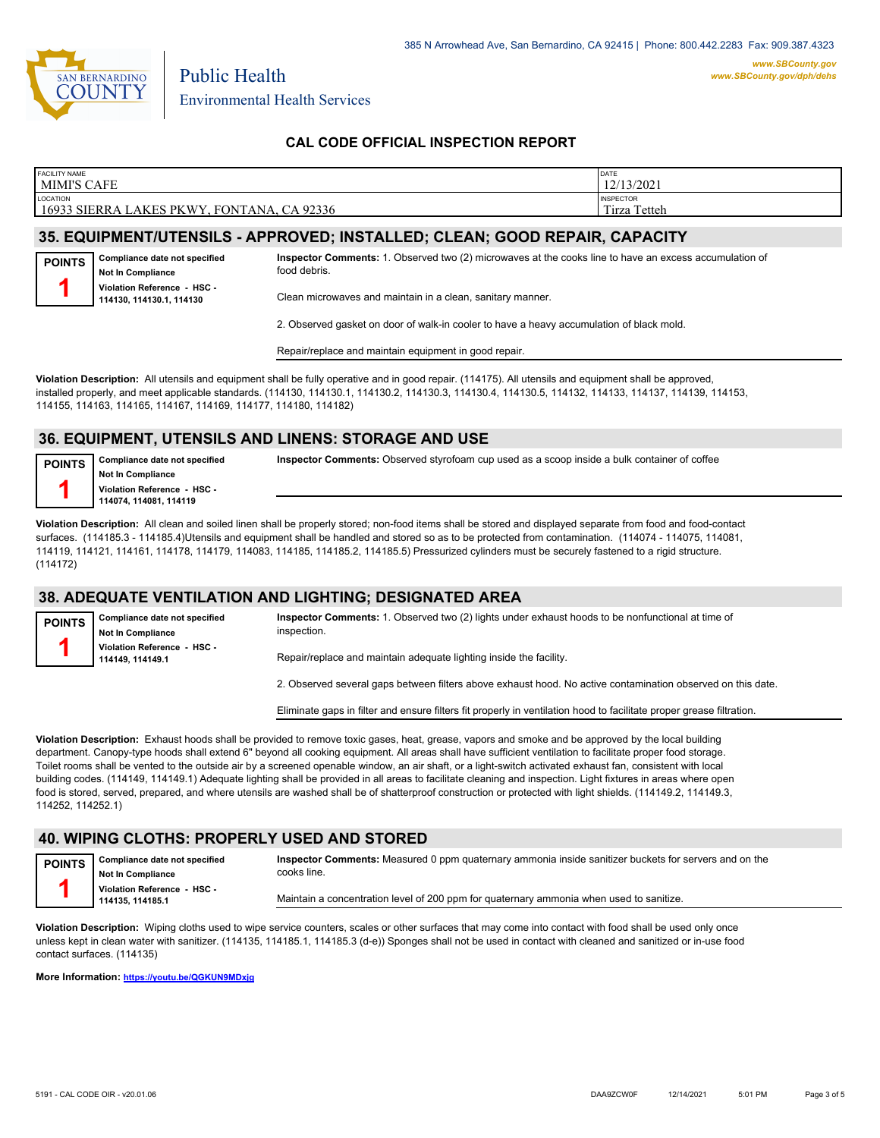

Environmental Health Services

Public Health

# **CAL CODE OFFICIAL INSPECTION REPORT**

| <b>FACILITY NAME</b>                                             | <b>DATE</b>                      |
|------------------------------------------------------------------|----------------------------------|
| <b>MIMI'S CAFE</b>                                               | 12/13/2021                       |
| <b>LOCATION</b><br>16933 SIERRA LAKES PKWY, FONTANA,<br>CA 92336 | <b>INSPECTOR</b><br>Tirza Tetteh |

## **35. EQUIPMENT/UTENSILS - APPROVED; INSTALLED; CLEAN; GOOD REPAIR, CAPACITY**

**Compliance date not specified Not In Compliance Violation Reference - HSC - 114130, 114130.1, 114130 POINTS 1**

**Inspector Comments:** 1. Observed two (2) microwaves at the cooks line to have an excess accumulation of food debris.

Clean microwaves and maintain in a clean, sanitary manner.

2. Observed gasket on door of walk-in cooler to have a heavy accumulation of black mold.

Repair/replace and maintain equipment in good repair.

**Violation Description:** All utensils and equipment shall be fully operative and in good repair. (114175). All utensils and equipment shall be approved, installed properly, and meet applicable standards. (114130, 114130.1, 114130.2, 114130.3, 114130.4, 114130.5, 114132, 114133, 114137, 114139, 114153, 114155, 114163, 114165, 114167, 114169, 114177, 114180, 114182)

### **36. EQUIPMENT, UTENSILS AND LINENS: STORAGE AND USE**

**POINTS 1**

**Compliance date not specified Not In Compliance Violation Reference - HSC - 114074, 114081, 114119**

**Inspector Comments:** Observed styrofoam cup used as a scoop inside a bulk container of coffee

**Violation Description:** All clean and soiled linen shall be properly stored; non-food items shall be stored and displayed separate from food and food-contact surfaces. (114185.3 - 114185.4)Utensils and equipment shall be handled and stored so as to be protected from contamination. (114074 - 114075, 114081, 114119, 114121, 114161, 114178, 114179, 114083, 114185, 114185.2, 114185.5) Pressurized cylinders must be securely fastened to a rigid structure. (114172)

# **38. ADEQUATE VENTILATION AND LIGHTING; DESIGNATED AREA**

| Compliance date not specified<br><b>POINTS</b><br>inspection.<br><b>Not In Compliance</b> |                                                | Inspector Comments: 1. Observed two (2) lights under exhaust hoods to be nonfunctional at time of           |
|-------------------------------------------------------------------------------------------|------------------------------------------------|-------------------------------------------------------------------------------------------------------------|
|                                                                                           | Violation Reference - HSC -<br>114149.114149.1 | Repair/replace and maintain adequate lighting inside the facility.                                          |
|                                                                                           |                                                | 2. Observed several gaps between filters above exhaust hood. No active contamination observed on this date. |

Eliminate gaps in filter and ensure filters fit properly in ventilation hood to facilitate proper grease filtration.

**Violation Description:** Exhaust hoods shall be provided to remove toxic gases, heat, grease, vapors and smoke and be approved by the local building department. Canopy-type hoods shall extend 6" beyond all cooking equipment. All areas shall have sufficient ventilation to facilitate proper food storage. Toilet rooms shall be vented to the outside air by a screened openable window, an air shaft, or a light-switch activated exhaust fan, consistent with local building codes. (114149, 114149.1) Adequate lighting shall be provided in all areas to facilitate cleaning and inspection. Light fixtures in areas where open food is stored, served, prepared, and where utensils are washed shall be of shatterproof construction or protected with light shields. (114149.2, 114149.3, 114252, 114252.1)

## **40. WIPING CLOTHS: PROPERLY USED AND STORED**

**Compliance date not specified Not In Compliance Violation Reference - HSC - POINTS 1**

**Inspector Comments:** Measured 0 ppm quaternary ammonia inside sanitizer buckets for servers and on the cooks line.

Maintain a concentration level of 200 ppm for quaternary ammonia when used to sanitize.

**Violation Description:** Wiping cloths used to wipe service counters, scales or other surfaces that may come into contact with food shall be used only once unless kept in clean water with sanitizer. (114135, 114185.1, 114185.3 (d-e)) Sponges shall not be used in contact with cleaned and sanitized or in-use food contact surfaces. (114135)

**More Information: <https://youtu.be/QGKUN9MDxjg>**

**114135, 114185.1**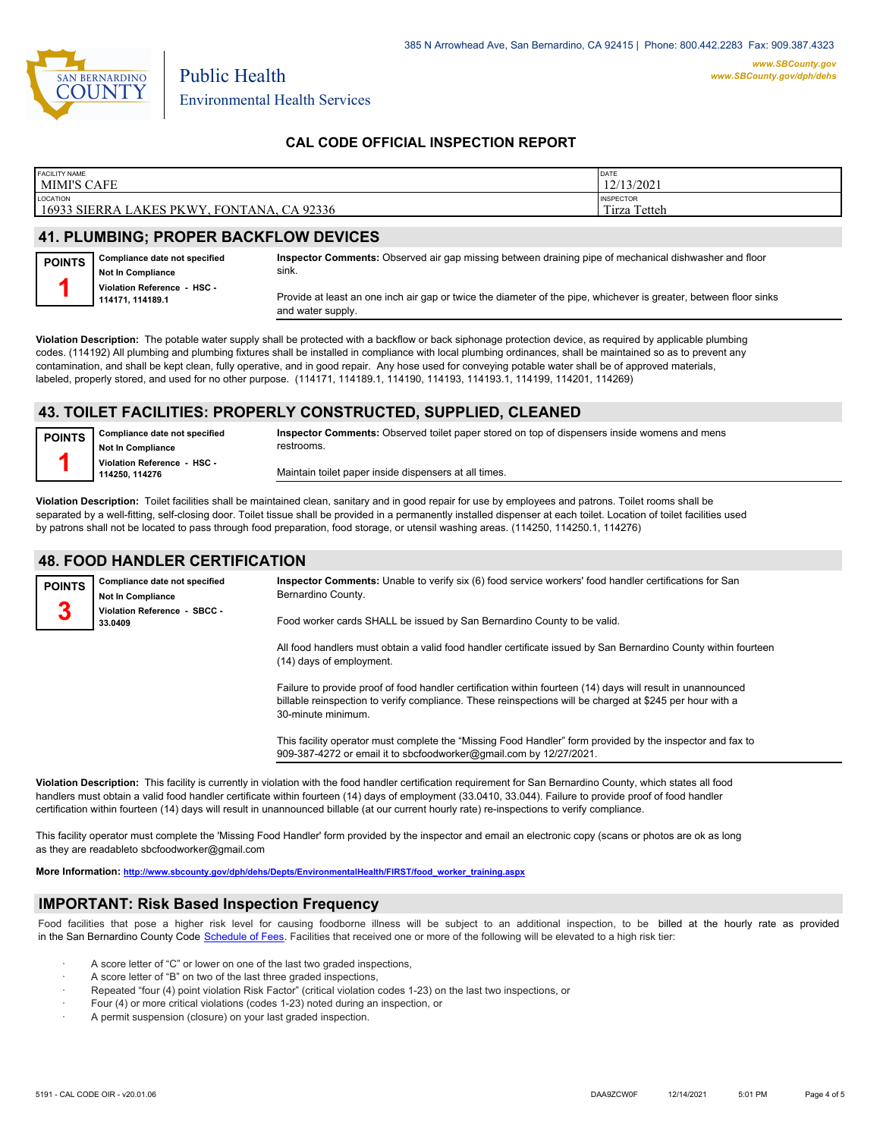

Environmental Health Services

Public Health

## **CAL CODE OFFICIAL INSPECTION REPORT**

| <b>FACILITY NAME</b>                                 | DATE             |
|------------------------------------------------------|------------------|
| MIMI'S CAFE                                          | 12/13/2021       |
| LOCATION                                             | <b>INSPECTOR</b> |
| 16933 SIERRA LAKES PKWY, FONTANA, CA 92336           | Tirza Tetteh     |
| <b><i>II BUILLEAUA BRABER BAAI/EL AULBEVIAEA</i></b> |                  |

### **41. PLUMBING; PROPER BACKFLOW DEVICES**

| <b>POINTS</b> | Compliance date not specified<br><b>Not In Compliance</b> | Inspector Comments: Observed air gap missing between draining pipe of mechanical dishwasher and floor<br>sink.                         |
|---------------|-----------------------------------------------------------|----------------------------------------------------------------------------------------------------------------------------------------|
|               | Violation Reference - HSC -<br>114171.114189.1            | Provide at least an one inch air gap or twice the diameter of the pipe, whichever is greater, between floor sinks<br>and water supply. |

**Violation Description:** The potable water supply shall be protected with a backflow or back siphonage protection device, as required by applicable plumbing codes. (114192) All plumbing and plumbing fixtures shall be installed in compliance with local plumbing ordinances, shall be maintained so as to prevent any contamination, and shall be kept clean, fully operative, and in good repair. Any hose used for conveying potable water shall be of approved materials, labeled, properly stored, and used for no other purpose. (114171, 114189.1, 114190, 114193, 114193.1, 114199, 114201, 114269)

## **43. TOILET FACILITIES: PROPERLY CONSTRUCTED, SUPPLIED, CLEANED**

| <b>POINTS</b> | Compliance date not specified<br>Not In Compliance | Inspector Comments: Observed toilet paper stored on top of dispensers inside womens and mens<br>restrooms. |
|---------------|----------------------------------------------------|------------------------------------------------------------------------------------------------------------|
|               | Violation Reference - HSC -<br>114250.114276       | Maintain toilet paper inside dispensers at all times.                                                      |

**Violation Description:** Toilet facilities shall be maintained clean, sanitary and in good repair for use by employees and patrons. Toilet rooms shall be separated by a well-fitting, self-closing door. Toilet tissue shall be provided in a permanently installed dispenser at each toilet. Location of toilet facilities used by patrons shall not be located to pass through food preparation, food storage, or utensil washing areas. (114250, 114250.1, 114276)

## **48. FOOD HANDLER CERTIFICATION**

| <b>POINTS</b> | Compliance date not specified<br><b>Not In Compliance</b> | Inspector Comments: Unable to verify six (6) food service workers' food handler certifications for San<br>Bernardino County.                                                                                                                  |
|---------------|-----------------------------------------------------------|-----------------------------------------------------------------------------------------------------------------------------------------------------------------------------------------------------------------------------------------------|
| 3             | Violation Reference - SBCC -<br>33.0409                   | Food worker cards SHALL be issued by San Bernardino County to be valid.                                                                                                                                                                       |
|               |                                                           | All food handlers must obtain a valid food handler certificate issued by San Bernardino County within fourteen<br>(14) days of employment.                                                                                                    |
|               |                                                           | Failure to provide proof of food handler certification within fourteen (14) days will result in unannounced<br>billable reinspection to verify compliance. These reinspections will be charged at \$245 per hour with a<br>30-minute minimum. |

This facility operator must complete the "Missing Food Handler" form provided by the inspector and fax to 909-387-4272 or email it to sbcfoodworker@gmail.com by 12/27/2021.

**Violation Description:** This facility is currently in violation with the food handler certification requirement for San Bernardino County, which states all food handlers must obtain a valid food handler certificate within fourteen (14) days of employment (33.0410, 33.044). Failure to provide proof of food handler certification within fourteen (14) days will result in unannounced billable (at our current hourly rate) re-inspections to verify compliance.

This facility operator must complete the 'Missing Food Handler' form provided by the inspector and email an electronic copy (scans or photos are ok as long as they are readableto sbcfoodworker@gmail.com

**More Information: [http://www.sbcounty.gov/dph/dehs/Depts/EnvironmentalHealth/FIRST/food\\_worker\\_training.aspx](http://www.sbcounty.gov/dph/dehs/Depts/EnvironmentalHealth/FIRST/food_worker_training.aspx)**

## **IMPORTANT: Risk Based Inspection Frequency**

Food facilities that pose a higher risk level for causing foodborne illness will be subject to an additional inspection, to be billed at the hourly rate as provided in the San Bernardino Count[y Code Schedule of Fees. Facilitie](https://codelibrary.amlegal.com/codes/sanbernardino/latest/sanberncty_ca/0-0-0-122474#JD_16.0213B)s that received one or more of the following will be elevated to a high risk tier:

- A score letter of "C" or lower on one of the last two graded inspections,
- A score letter of "B" on two of the last three graded inspections,
- · Repeated "four (4) point violation Risk Factor" (critical violation codes 1-23) on the last two inspections, or
- Four (4) or more critical violations (codes 1-23) noted during an inspection, or
- A permit suspension (closure) on your last graded inspection.